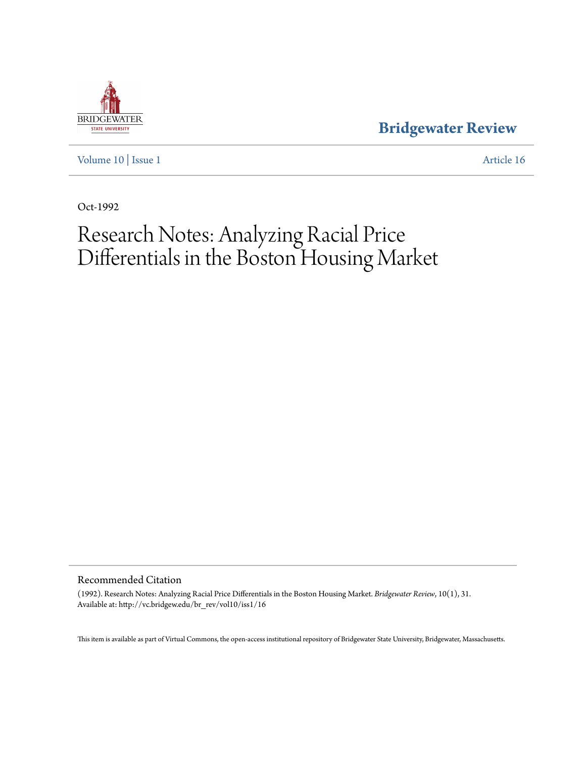

**[Bridgewater Review](http://vc.bridgew.edu/br_rev)**

[Volume 10](http://vc.bridgew.edu/br_rev/vol10) | [Issue 1](http://vc.bridgew.edu/br_rev/vol10/iss1) [Article 16](http://vc.bridgew.edu/br_rev/vol10/iss1/16)

Oct-1992

## Research Notes: Analyzing Racial Price Differentials in the Boston Housing Market

Recommended Citation

(1992). Research Notes: Analyzing Racial Price Differentials in the Boston Housing Market. *Bridgewater Review*, 10(1), 31. Available at: http://vc.bridgew.edu/br\_rev/vol10/iss1/16

This item is available as part of Virtual Commons, the open-access institutional repository of Bridgewater State University, Bridgewater, Massachusetts.